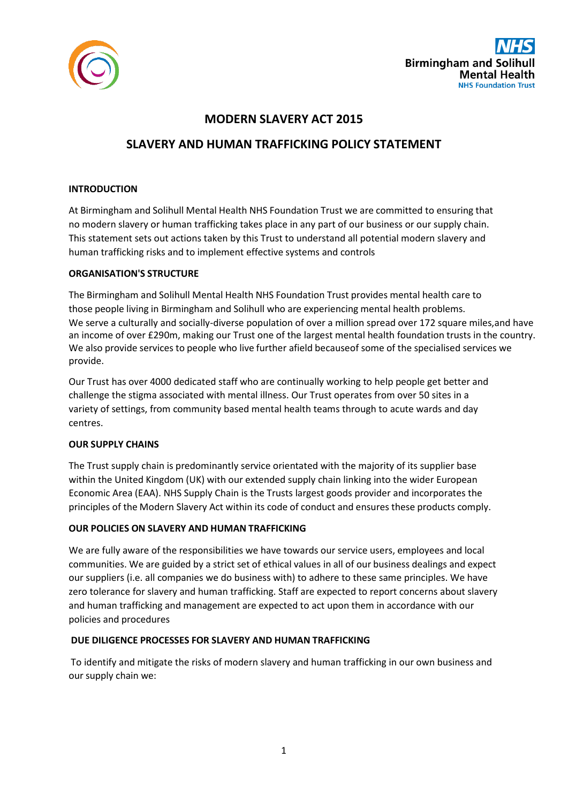

## **MODERN SLAVERY ACT 2015**

# **SLAVERY AND HUMAN TRAFFICKING POLICY STATEMENT**

### **INTRODUCTION**

At Birmingham and Solihull Mental Health NHS Foundation Trust we are committed to ensuring that no modern slavery or human trafficking takes place in any part of our business or our supply chain. This statement sets out actions taken by this Trust to understand all potential modern slavery and human trafficking risks and to implement effective systems and controls

### **ORGANISATION'S STRUCTURE**

The Birmingham and Solihull Mental Health NHS Foundation Trust provides mental health care to those people living in Birmingham and Solihull who are experiencing mental health problems. We serve a culturally and socially-diverse population of over a million spread over 172 square miles, and have an income of over £290m, making our Trust one of the largest mental health foundation trusts in the country. We also provide services to people who live further afield becauseof some of the specialised services we provide.

Our Trust has over 4000 dedicated staff who are continually working to help people get better and challenge the stigma associated with mental illness. Our Trust operates from over 50 sites in a variety of settings, from community based mental health teams through to acute wards and day centres.

#### **OUR SUPPLY CHAINS**

The Trust supply chain is predominantly service orientated with the majority of its supplier base within the United Kingdom (UK) with our extended supply chain linking into the wider European Economic Area (EAA). NHS Supply Chain is the Trusts largest goods provider and incorporates the principles of the Modern Slavery Act within its code of conduct and ensures these products comply.

## **OUR POLICIES ON SLAVERY AND HUMAN TRAFFICKING**

We are fully aware of the responsibilities we have towards our service users, employees and local communities. We are guided by a strict set of ethical values in all of our business dealings and expect our suppliers (i.e. all companies we do business with) to adhere to these same principles. We have zero tolerance for slavery and human trafficking. Staff are expected to report concerns about slavery and human trafficking and management are expected to act upon them in accordance with our policies and procedures

#### **DUE DILIGENCE PROCESSES FOR SLAVERY AND HUMAN TRAFFICKING**

To identify and mitigate the risks of modern slavery and human trafficking in our own business and our supply chain we: